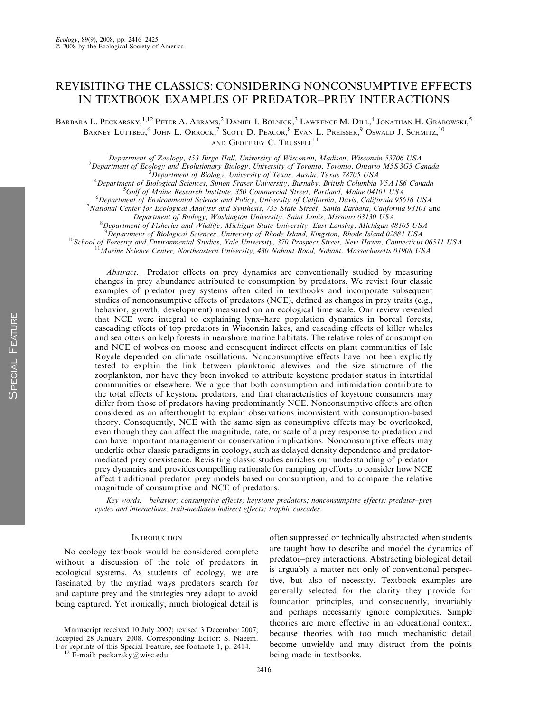# REVISITING THE CLASSICS: CONSIDERING NONCONSUMPTIVE EFFECTS IN TEXTBOOK EXAMPLES OF PREDATOR–PREY INTERACTIONS

Barbara L. Peckarsky, <sup>1,12</sup> Peter A. Abrams, <sup>2</sup> Daniel I. Bolnick, <sup>3</sup> Lawrence M. Dill, <sup>4</sup> Jonathan H. Grabowski, <sup>5</sup> BARNEY LUTTBEG, <sup>6</sup> JOHN L. ORROCK, <sup>7</sup> SCOTT D. PEACOR, <sup>8</sup> EVAN L. PREISSER, <sup>9</sup> OSWALD J. SCHMITZ, <sup>10</sup> AND GEOFFREY C. TRUSSELL<sup>11</sup>

<sup>1</sup> Department of Zoology, 453 Birge Hall, University of Wisconsin, Madison, Wisconsin 53706 USA<br><sup>2</sup> Department of Ecology and Evolutionary Biology, University of Toronto, Terento, Ontario M5S 3G5 Co

<sup>2</sup> Department of Ecology and Evolutionary Biology, University of Toronto, Toronto, Ontario M5S 3G5 Canada

 ${}^{3}$ Department of Biology, University of Texas, Austin, Texas 78705 USA

<sup>4</sup>Department of Biological Sciences, Simon Fraser University, Burnaby, British Columbia V5A 1S6 Canada

 $G$ Gulf of Maine Research Institute, 350 Commercial Street, Portland, Maine 04101 USA

<sup>6</sup>Department of Environmental Science and Policy, University of California, Davis, California 95616 USA

National Center for Ecological Analysis and Synthesis, 735 State Street, Santa Barbara, California 93101 and

Department of Biology, Washington University, Saint Louis, Missouri 63130 USA

 $8$ Department of Fisheries and Wildlife, Michigan State University, East Lansing, Michigan 48105 USA

<sup>9</sup>Department of Biological Sciences, University of Rhode Island, Kingston, Rhode Island 02881 USA

<sup>10</sup>School of Forestry and Environmental Studies, Yale University, 370 Prospect Street, New Haven, Connecticut 06511 USA<br><sup>11</sup> Marine Science Center, Northeastern University, 430 Nahant Road, Nahant, Massachusetts 01908 USA

Abstract. Predator effects on prey dynamics are conventionally studied by measuring changes in prey abundance attributed to consumption by predators. We revisit four classic examples of predator–prey systems often cited in textbooks and incorporate subsequent studies of nonconsumptive effects of predators (NCE), defined as changes in prey traits (e.g., behavior, growth, development) measured on an ecological time scale. Our review revealed that NCE were integral to explaining lynx–hare population dynamics in boreal forests, cascading effects of top predators in Wisconsin lakes, and cascading effects of killer whales and sea otters on kelp forests in nearshore marine habitats. The relative roles of consumption and NCE of wolves on moose and consequent indirect effects on plant communities of Isle Royale depended on climate oscillations. Nonconsumptive effects have not been explicitly tested to explain the link between planktonic alewives and the size structure of the zooplankton, nor have they been invoked to attribute keystone predator status in intertidal communities or elsewhere. We argue that both consumption and intimidation contribute to the total effects of keystone predators, and that characteristics of keystone consumers may differ from those of predators having predominantly NCE. Nonconsumptive effects are often considered as an afterthought to explain observations inconsistent with consumption-based theory. Consequently, NCE with the same sign as consumptive effects may be overlooked, even though they can affect the magnitude, rate, or scale of a prey response to predation and can have important management or conservation implications. Nonconsumptive effects may underlie other classic paradigms in ecology, such as delayed density dependence and predatormediated prey coexistence. Revisiting classic studies enriches our understanding of predator– prey dynamics and provides compelling rationale for ramping up efforts to consider how NCE affect traditional predator–prey models based on consumption, and to compare the relative magnitude of consumptive and NCE of predators.

Key words: behavior; consumptive effects; keystone predators; nonconsumptive effects; predator–prey cycles and interactions; trait-mediated indirect effects; trophic cascades.

#### **INTRODUCTION**

No ecology textbook would be considered complete without a discussion of the role of predators in ecological systems. As students of ecology, we are fascinated by the myriad ways predators search for and capture prey and the strategies prey adopt to avoid being captured. Yet ironically, much biological detail is

often suppressed or technically abstracted when students are taught how to describe and model the dynamics of predator–prey interactions. Abstracting biological detail is arguably a matter not only of conventional perspective, but also of necessity. Textbook examples are generally selected for the clarity they provide for foundation principles, and consequently, invariably and perhaps necessarily ignore complexities. Simple theories are more effective in an educational context, because theories with too much mechanistic detail become unwieldy and may distract from the points being made in textbooks.

Manuscript received 10 July 2007; revised 3 December 2007; accepted 28 January 2008. Corresponding Editor: S. Naeem. For reprints of this Special Feature, see footnote 1, p. 2414.<br> $^{12}$  E-mail: peckarsky@wisc.edu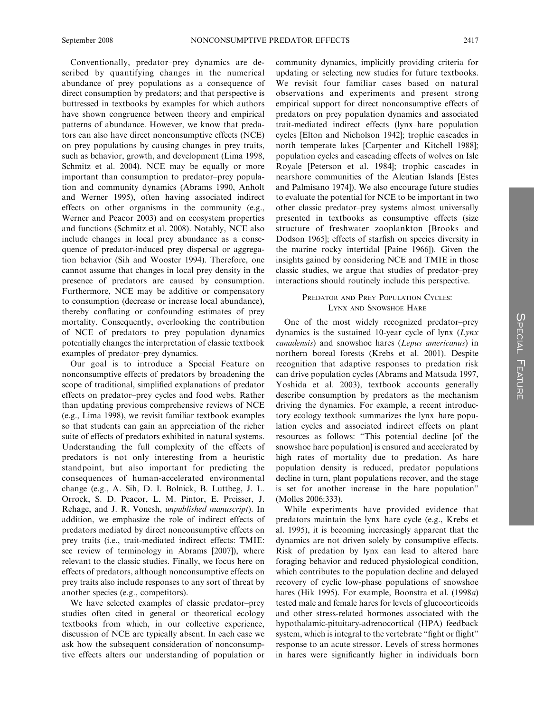Conventionally, predator–prey dynamics are described by quantifying changes in the numerical abundance of prey populations as a consequence of direct consumption by predators; and that perspective is buttressed in textbooks by examples for which authors have shown congruence between theory and empirical patterns of abundance. However, we know that predators can also have direct nonconsumptive effects (NCE) on prey populations by causing changes in prey traits, such as behavior, growth, and development (Lima 1998, Schmitz et al. 2004). NCE may be equally or more important than consumption to predator–prey population and community dynamics (Abrams 1990, Anholt and Werner 1995), often having associated indirect effects on other organisms in the community (e.g., Werner and Peacor 2003) and on ecosystem properties and functions (Schmitz et al. 2008). Notably, NCE also include changes in local prey abundance as a consequence of predator-induced prey dispersal or aggregation behavior (Sih and Wooster 1994). Therefore, one cannot assume that changes in local prey density in the presence of predators are caused by consumption. Furthermore, NCE may be additive or compensatory to consumption (decrease or increase local abundance), thereby conflating or confounding estimates of prey mortality. Consequently, overlooking the contribution of NCE of predators to prey population dynamics potentially changes the interpretation of classic textbook examples of predator–prey dynamics.

Our goal is to introduce a Special Feature on nonconsumptive effects of predators by broadening the scope of traditional, simplified explanations of predator effects on predator–prey cycles and food webs. Rather than updating previous comprehensive reviews of NCE (e.g., Lima 1998), we revisit familiar textbook examples so that students can gain an appreciation of the richer suite of effects of predators exhibited in natural systems. Understanding the full complexity of the effects of predators is not only interesting from a heuristic standpoint, but also important for predicting the consequences of human-accelerated environmental change (e.g., A. Sih, D. I. Bolnick, B. Luttbeg, J. L. Orrock, S. D. Peacor, L. M. Pintor, E. Preisser, J. Rehage, and J. R. Vonesh, unpublished manuscript). In addition, we emphasize the role of indirect effects of predators mediated by direct nonconsumptive effects on prey traits (i.e., trait-mediated indirect effects: TMIE: see review of terminology in Abrams [2007]), where relevant to the classic studies. Finally, we focus here on effects of predators, although nonconsumptive effects on prey traits also include responses to any sort of threat by another species (e.g., competitors).

We have selected examples of classic predator–prey studies often cited in general or theoretical ecology textbooks from which, in our collective experience, discussion of NCE are typically absent. In each case we ask how the subsequent consideration of nonconsumptive effects alters our understanding of population or community dynamics, implicitly providing criteria for updating or selecting new studies for future textbooks. We revisit four familiar cases based on natural observations and experiments and present strong empirical support for direct nonconsumptive effects of predators on prey population dynamics and associated trait-mediated indirect effects (lynx–hare population cycles [Elton and Nicholson 1942]; trophic cascades in north temperate lakes [Carpenter and Kitchell 1988]; population cycles and cascading effects of wolves on Isle Royale [Peterson et al. 1984]; trophic cascades in nearshore communities of the Aleutian Islands [Estes and Palmisano 1974]). We also encourage future studies to evaluate the potential for NCE to be important in two other classic predator–prey systems almost universally presented in textbooks as consumptive effects (size structure of freshwater zooplankton [Brooks and Dodson 1965]; effects of starfish on species diversity in the marine rocky intertidal [Paine 1966]). Given the insights gained by considering NCE and TMIE in those classic studies, we argue that studies of predator–prey interactions should routinely include this perspective.

# PREDATOR AND PREY POPULATION CYCLES: LYNX AND SNOWSHOE HARE

One of the most widely recognized predator–prey dynamics is the sustained 10-year cycle of lynx  $(Lynx)$ canadensis) and snowshoe hares (Lepus americanus) in northern boreal forests (Krebs et al. 2001). Despite recognition that adaptive responses to predation risk can drive population cycles (Abrams and Matsuda 1997, Yoshida et al. 2003), textbook accounts generally describe consumption by predators as the mechanism driving the dynamics. For example, a recent introductory ecology textbook summarizes the lynx–hare population cycles and associated indirect effects on plant resources as follows: ''This potential decline [of the snowshoe hare population] is ensured and accelerated by high rates of mortality due to predation. As hare population density is reduced, predator populations decline in turn, plant populations recover, and the stage is set for another increase in the hare population'' (Molles 2006:333).

While experiments have provided evidence that predators maintain the lynx–hare cycle (e.g., Krebs et al. 1995), it is becoming increasingly apparent that the dynamics are not driven solely by consumptive effects. Risk of predation by lynx can lead to altered hare foraging behavior and reduced physiological condition, which contributes to the population decline and delayed recovery of cyclic low-phase populations of snowshoe hares (Hik 1995). For example, Boonstra et al. (1998a) tested male and female hares for levels of glucocorticoids and other stress-related hormones associated with the hypothalamic-pituitary-adrenocortical (HPA) feedback system, which is integral to the vertebrate "fight or flight" response to an acute stressor. Levels of stress hormones in hares were significantly higher in individuals born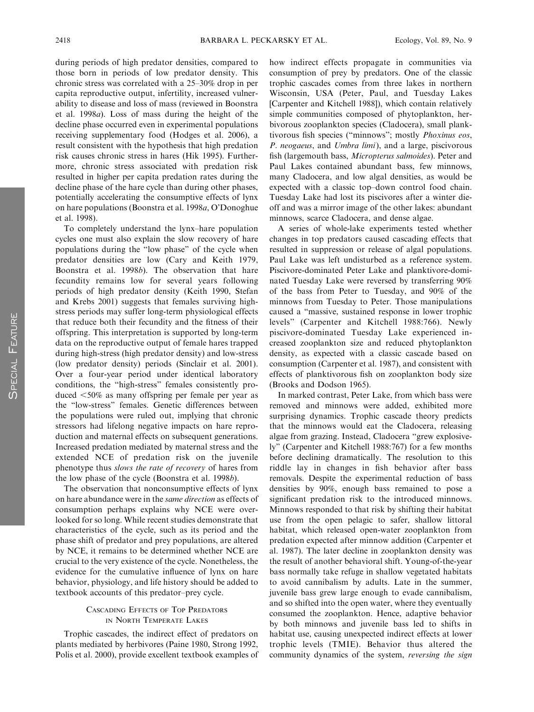during periods of high predator densities, compared to those born in periods of low predator density. This chronic stress was correlated with a 25–30% drop in per capita reproductive output, infertility, increased vulnerability to disease and loss of mass (reviewed in Boonstra et al. 1998a). Loss of mass during the height of the decline phase occurred even in experimental populations receiving supplementary food (Hodges et al. 2006), a result consistent with the hypothesis that high predation risk causes chronic stress in hares (Hik 1995). Furthermore, chronic stress associated with predation risk resulted in higher per capita predation rates during the decline phase of the hare cycle than during other phases, potentially accelerating the consumptive effects of lynx on hare populations (Boonstra et al. 1998a, O'Donoghue et al. 1998).

To completely understand the lynx–hare population cycles one must also explain the slow recovery of hare populations during the ''low phase'' of the cycle when predator densities are low (Cary and Keith 1979, Boonstra et al. 1998b). The observation that hare fecundity remains low for several years following periods of high predator density (Keith 1990, Stefan and Krebs 2001) suggests that females surviving highstress periods may suffer long-term physiological effects that reduce both their fecundity and the fitness of their offspring. This interpretation is supported by long-term data on the reproductive output of female hares trapped during high-stress (high predator density) and low-stress (low predator density) periods (Sinclair et al. 2001). Over a four-year period under identical laboratory conditions, the ''high-stress'' females consistently produced <50% as many offspring per female per year as the ''low-stress'' females. Genetic differences between the populations were ruled out, implying that chronic stressors had lifelong negative impacts on hare reproduction and maternal effects on subsequent generations. Increased predation mediated by maternal stress and the extended NCE of predation risk on the juvenile phenotype thus slows the rate of recovery of hares from the low phase of the cycle (Boonstra et al. 1998b).

The observation that nonconsumptive effects of lynx on hare abundance were in the same direction as effects of consumption perhaps explains why NCE were overlooked for so long. While recent studies demonstrate that characteristics of the cycle, such as its period and the phase shift of predator and prey populations, are altered by NCE, it remains to be determined whether NCE are crucial to the very existence of the cycle. Nonetheless, the evidence for the cumulative influence of lynx on hare behavior, physiology, and life history should be added to textbook accounts of this predator–prey cycle.

### CASCADING EFFECTS OF TOP PREDATORS IN NORTH TEMPERATE LAKES

Trophic cascades, the indirect effect of predators on plants mediated by herbivores (Paine 1980, Strong 1992, Polis et al. 2000), provide excellent textbook examples of how indirect effects propagate in communities via consumption of prey by predators. One of the classic trophic cascades comes from three lakes in northern Wisconsin, USA (Peter, Paul, and Tuesday Lakes [Carpenter and Kitchell 1988]), which contain relatively simple communities composed of phytoplankton, herbivorous zooplankton species (Cladocera), small planktivorous fish species (''minnows''; mostly Phoxinus eos, P. neogaeus, and Umbra limi), and a large, piscivorous fish (largemouth bass, Micropterus salmoides). Peter and Paul Lakes contained abundant bass, few minnows, many Cladocera, and low algal densities, as would be expected with a classic top–down control food chain. Tuesday Lake had lost its piscivores after a winter dieoff and was a mirror image of the other lakes: abundant minnows, scarce Cladocera, and dense algae.

A series of whole-lake experiments tested whether changes in top predators caused cascading effects that resulted in suppression or release of algal populations. Paul Lake was left undisturbed as a reference system. Piscivore-dominated Peter Lake and planktivore-dominated Tuesday Lake were reversed by transferring 90% of the bass from Peter to Tuesday, and 90% of the minnows from Tuesday to Peter. Those manipulations caused a ''massive, sustained response in lower trophic levels'' (Carpenter and Kitchell 1988:766). Newly piscivore-dominated Tuesday Lake experienced increased zooplankton size and reduced phytoplankton density, as expected with a classic cascade based on consumption (Carpenter et al. 1987), and consistent with effects of planktivorous fish on zooplankton body size (Brooks and Dodson 1965).

In marked contrast, Peter Lake, from which bass were removed and minnows were added, exhibited more surprising dynamics. Trophic cascade theory predicts that the minnows would eat the Cladocera, releasing algae from grazing. Instead, Cladocera ''grew explosively'' (Carpenter and Kitchell 1988:767) for a few months before declining dramatically. The resolution to this riddle lay in changes in fish behavior after bass removals. Despite the experimental reduction of bass densities by 90%, enough bass remained to pose a significant predation risk to the introduced minnows. Minnows responded to that risk by shifting their habitat use from the open pelagic to safer, shallow littoral habitat, which released open-water zooplankton from predation expected after minnow addition (Carpenter et al. 1987). The later decline in zooplankton density was the result of another behavioral shift. Young-of-the-year bass normally take refuge in shallow vegetated habitats to avoid cannibalism by adults. Late in the summer, juvenile bass grew large enough to evade cannibalism, and so shifted into the open water, where they eventually consumed the zooplankton. Hence, adaptive behavior by both minnows and juvenile bass led to shifts in habitat use, causing unexpected indirect effects at lower trophic levels (TMIE). Behavior thus altered the community dynamics of the system, reversing the sign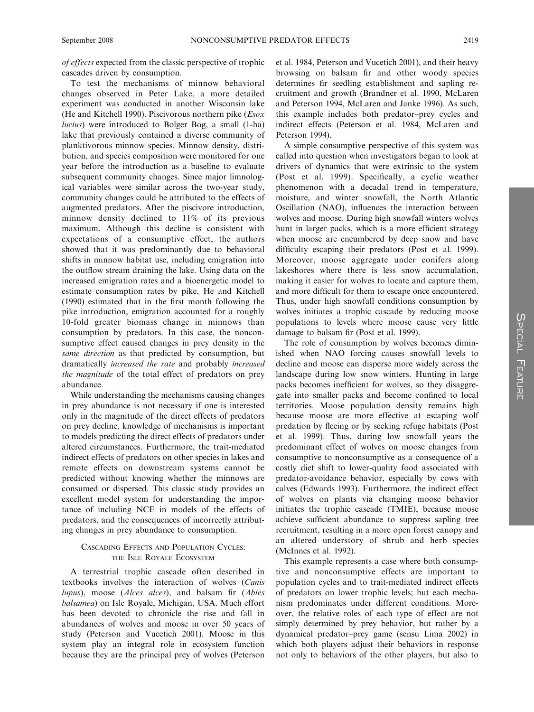of effects expected from the classic perspective of trophic cascades driven by consumption.

To test the mechanisms of minnow behavioral changes observed in Peter Lake, a more detailed experiment was conducted in another Wisconsin lake (He and Kitchell 1990). Piscivorous northern pike (Esox lucius) were introduced to Bolger Bog, a small (1-ha) lake that previously contained a diverse community of planktivorous minnow species. Minnow density, distribution, and species composition were monitored for one year before the introduction as a baseline to evaluate subsequent community changes. Since major limnological variables were similar across the two-year study, community changes could be attributed to the effects of augmented predators. After the piscivore introduction, minnow density declined to 11% of its previous maximum. Although this decline is consistent with expectations of a consumptive effect, the authors showed that it was predominantly due to behavioral shifts in minnow habitat use, including emigration into the outflow stream draining the lake. Using data on the increased emigration rates and a bioenergetic model to estimate consumption rates by pike, He and Kitchell (1990) estimated that in the first month following the pike introduction, emigration accounted for a roughly 10-fold greater biomass change in minnows than consumption by predators. In this case, the nonconsumptive effect caused changes in prey density in the same direction as that predicted by consumption, but dramatically increased the rate and probably increased the magnitude of the total effect of predators on prey abundance.

While understanding the mechanisms causing changes in prey abundance is not necessary if one is interested only in the magnitude of the direct effects of predators on prey decline, knowledge of mechanisms is important to models predicting the direct effects of predators under altered circumstances. Furthermore, the trait-mediated indirect effects of predators on other species in lakes and remote effects on downstream systems cannot be predicted without knowing whether the minnows are consumed or dispersed. This classic study provides an excellent model system for understanding the importance of including NCE in models of the effects of predators, and the consequences of incorrectly attributing changes in prey abundance to consumption.

# CASCADING EFFECTS AND POPULATION CYCLES: THE ISLE ROYALE ECOSYSTEM

A terrestrial trophic cascade often described in textbooks involves the interaction of wolves (Canis lupus), moose (Alces alces), and balsam fir (Abies balsamea) on Isle Royale, Michigan, USA. Much effort has been devoted to chronicle the rise and fall in abundances of wolves and moose in over 50 years of study (Peterson and Vucetich 2001). Moose in this system play an integral role in ecosystem function because they are the principal prey of wolves (Peterson et al. 1984, Peterson and Vucetich 2001), and their heavy browsing on balsam fir and other woody species determines fir seedling establishment and sapling recruitment and growth (Brandner et al. 1990, McLaren and Peterson 1994, McLaren and Janke 1996). As such, this example includes both predator–prey cycles and indirect effects (Peterson et al. 1984, McLaren and Peterson 1994).

A simple consumptive perspective of this system was called into question when investigators began to look at drivers of dynamics that were extrinsic to the system (Post et al. 1999). Specifically, a cyclic weather phenomenon with a decadal trend in temperature, moisture, and winter snowfall, the North Atlantic Oscillation (NAO), influences the interaction between wolves and moose. During high snowfall winters wolves hunt in larger packs, which is a more efficient strategy when moose are encumbered by deep snow and have difficulty escaping their predators (Post et al. 1999). Moreover, moose aggregate under conifers along lakeshores where there is less snow accumulation, making it easier for wolves to locate and capture them, and more difficult for them to escape once encountered. Thus, under high snowfall conditions consumption by wolves initiates a trophic cascade by reducing moose populations to levels where moose cause very little damage to balsam fir (Post et al. 1999).

The role of consumption by wolves becomes diminished when NAO forcing causes snowfall levels to decline and moose can disperse more widely across the landscape during low snow winters. Hunting in large packs becomes inefficient for wolves, so they disaggregate into smaller packs and become confined to local territories. Moose population density remains high because moose are more effective at escaping wolf predation by fleeing or by seeking refuge habitats (Post et al. 1999). Thus, during low snowfall years the predominant effect of wolves on moose changes from consumptive to nonconsumptive as a consequence of a costly diet shift to lower-quality food associated with predator-avoidance behavior, especially by cows with calves (Edwards 1993). Furthermore, the indirect effect of wolves on plants via changing moose behavior initiates the trophic cascade (TMIE), because moose achieve sufficient abundance to suppress sapling tree recruitment, resulting in a more open forest canopy and an altered understory of shrub and herb species (McInnes et al. 1992).

This example represents a case where both consumptive and nonconsumptive effects are important to population cycles and to trait-mediated indirect effects of predators on lower trophic levels; but each mechanism predominates under different conditions. Moreover, the relative roles of each type of effect are not simply determined by prey behavior, but rather by a dynamical predator–prey game (sensu Lima 2002) in which both players adjust their behaviors in response not only to behaviors of the other players, but also to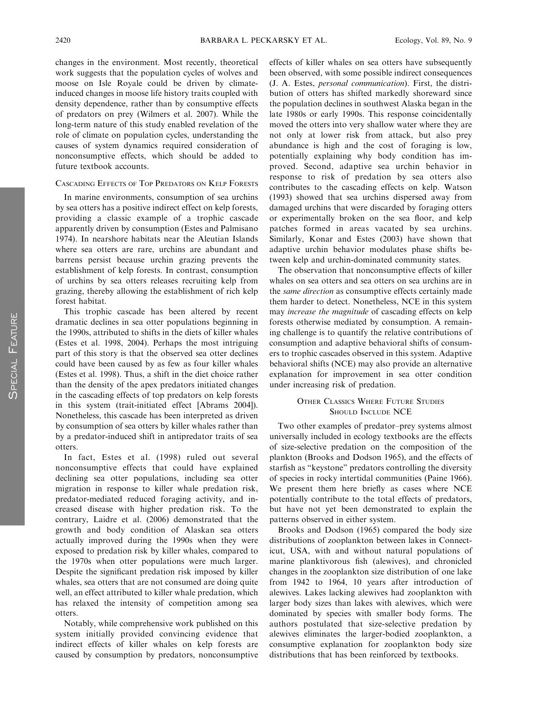changes in the environment. Most recently, theoretical work suggests that the population cycles of wolves and moose on Isle Royale could be driven by climateinduced changes in moose life history traits coupled with density dependence, rather than by consumptive effects of predators on prey (Wilmers et al. 2007). While the long-term nature of this study enabled revelation of the role of climate on population cycles, understanding the causes of system dynamics required consideration of nonconsumptive effects, which should be added to future textbook accounts.

# CASCADING EFFECTS OF TOP PREDATORS ON KELP FORESTS

In marine environments, consumption of sea urchins by sea otters has a positive indirect effect on kelp forests, providing a classic example of a trophic cascade apparently driven by consumption (Estes and Palmisano 1974). In nearshore habitats near the Aleutian Islands where sea otters are rare, urchins are abundant and barrens persist because urchin grazing prevents the establishment of kelp forests. In contrast, consumption of urchins by sea otters releases recruiting kelp from grazing, thereby allowing the establishment of rich kelp forest habitat.

This trophic cascade has been altered by recent dramatic declines in sea otter populations beginning in the 1990s, attributed to shifts in the diets of killer whales (Estes et al. 1998, 2004). Perhaps the most intriguing part of this story is that the observed sea otter declines could have been caused by as few as four killer whales (Estes et al. 1998). Thus, a shift in the diet choice rather than the density of the apex predators initiated changes in the cascading effects of top predators on kelp forests in this system (trait-initiated effect [Abrams 2004]). Nonetheless, this cascade has been interpreted as driven by consumption of sea otters by killer whales rather than by a predator-induced shift in antipredator traits of sea otters.

In fact, Estes et al. (1998) ruled out several nonconsumptive effects that could have explained declining sea otter populations, including sea otter migration in response to killer whale predation risk, predator-mediated reduced foraging activity, and increased disease with higher predation risk. To the contrary, Laidre et al. (2006) demonstrated that the growth and body condition of Alaskan sea otters actually improved during the 1990s when they were exposed to predation risk by killer whales, compared to the 1970s when otter populations were much larger. Despite the significant predation risk imposed by killer whales, sea otters that are not consumed are doing quite well, an effect attributed to killer whale predation, which has relaxed the intensity of competition among sea otters.

Notably, while comprehensive work published on this system initially provided convincing evidence that indirect effects of killer whales on kelp forests are caused by consumption by predators, nonconsumptive effects of killer whales on sea otters have subsequently been observed, with some possible indirect consequences (J. A. Estes, personal communication). First, the distribution of otters has shifted markedly shoreward since the population declines in southwest Alaska began in the late 1980s or early 1990s. This response coincidentally moved the otters into very shallow water where they are not only at lower risk from attack, but also prey abundance is high and the cost of foraging is low, potentially explaining why body condition has improved. Second, adaptive sea urchin behavior in response to risk of predation by sea otters also contributes to the cascading effects on kelp. Watson (1993) showed that sea urchins dispersed away from damaged urchins that were discarded by foraging otters or experimentally broken on the sea floor, and kelp patches formed in areas vacated by sea urchins. Similarly, Konar and Estes (2003) have shown that adaptive urchin behavior modulates phase shifts between kelp and urchin-dominated community states.

The observation that nonconsumptive effects of killer whales on sea otters and sea otters on sea urchins are in the same direction as consumptive effects certainly made them harder to detect. Nonetheless, NCE in this system may increase the magnitude of cascading effects on kelp forests otherwise mediated by consumption. A remaining challenge is to quantify the relative contributions of consumption and adaptive behavioral shifts of consumers to trophic cascades observed in this system. Adaptive behavioral shifts (NCE) may also provide an alternative explanation for improvement in sea otter condition under increasing risk of predation.

## OTHER CLASSICS WHERE FUTURE STUDIES SHOULD INCLUDE NCE

Two other examples of predator–prey systems almost universally included in ecology textbooks are the effects of size-selective predation on the composition of the plankton (Brooks and Dodson 1965), and the effects of starfish as ''keystone'' predators controlling the diversity of species in rocky intertidal communities (Paine 1966). We present them here briefly as cases where NCE potentially contribute to the total effects of predators, but have not yet been demonstrated to explain the patterns observed in either system.

Brooks and Dodson (1965) compared the body size distributions of zooplankton between lakes in Connecticut, USA, with and without natural populations of marine planktivorous fish (alewives), and chronicled changes in the zooplankton size distribution of one lake from 1942 to 1964, 10 years after introduction of alewives. Lakes lacking alewives had zooplankton with larger body sizes than lakes with alewives, which were dominated by species with smaller body forms. The authors postulated that size-selective predation by alewives eliminates the larger-bodied zooplankton, a consumptive explanation for zooplankton body size distributions that has been reinforced by textbooks.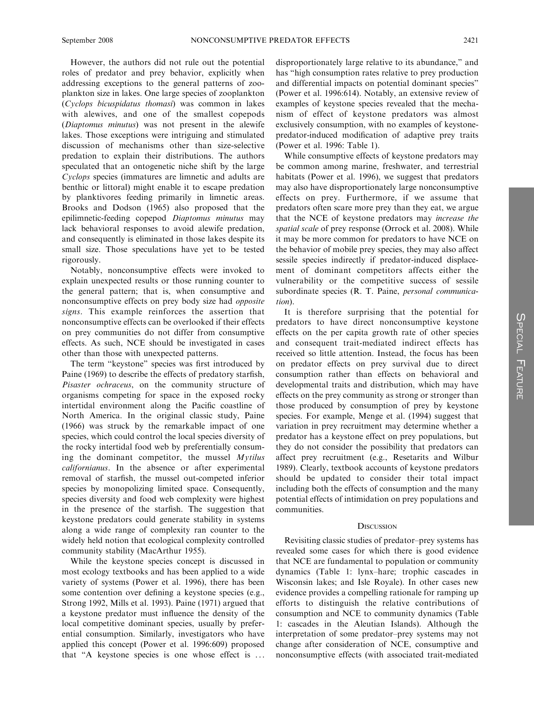However, the authors did not rule out the potential roles of predator and prey behavior, explicitly when addressing exceptions to the general patterns of zooplankton size in lakes. One large species of zooplankton (Cyclops bicuspidatus thomasi) was common in lakes with alewives, and one of the smallest copepods (Diaptomus minutus) was not present in the alewife lakes. Those exceptions were intriguing and stimulated discussion of mechanisms other than size-selective predation to explain their distributions. The authors speculated that an ontogenetic niche shift by the large Cyclops species (immatures are limnetic and adults are benthic or littoral) might enable it to escape predation by planktivores feeding primarily in limnetic areas. Brooks and Dodson (1965) also proposed that the epilimnetic-feeding copepod Diaptomus minutus may lack behavioral responses to avoid alewife predation, and consequently is eliminated in those lakes despite its small size. Those speculations have yet to be tested rigorously.

Notably, nonconsumptive effects were invoked to explain unexpected results or those running counter to the general pattern; that is, when consumptive and nonconsumptive effects on prey body size had opposite signs. This example reinforces the assertion that nonconsumptive effects can be overlooked if their effects on prey communities do not differ from consumptive effects. As such, NCE should be investigated in cases other than those with unexpected patterns.

The term "keystone" species was first introduced by Paine (1969) to describe the effects of predatory starfish, Pisaster ochraceus, on the community structure of organisms competing for space in the exposed rocky intertidal environment along the Pacific coastline of North America. In the original classic study, Paine (1966) was struck by the remarkable impact of one species, which could control the local species diversity of the rocky intertidal food web by preferentially consuming the dominant competitor, the mussel Mytilus californianus. In the absence or after experimental removal of starfish, the mussel out-competed inferior species by monopolizing limited space. Consequently, species diversity and food web complexity were highest in the presence of the starfish. The suggestion that keystone predators could generate stability in systems along a wide range of complexity ran counter to the widely held notion that ecological complexity controlled community stability (MacArthur 1955).

While the keystone species concept is discussed in most ecology textbooks and has been applied to a wide variety of systems (Power et al. 1996), there has been some contention over defining a keystone species (e.g., Strong 1992, Mills et al. 1993). Paine (1971) argued that a keystone predator must influence the density of the local competitive dominant species, usually by preferential consumption. Similarly, investigators who have applied this concept (Power et al. 1996:609) proposed that ''A keystone species is one whose effect is ... disproportionately large relative to its abundance,'' and has ''high consumption rates relative to prey production and differential impacts on potential dominant species'' (Power et al. 1996:614). Notably, an extensive review of examples of keystone species revealed that the mechanism of effect of keystone predators was almost exclusively consumption, with no examples of keystonepredator-induced modification of adaptive prey traits (Power et al. 1996: Table 1).

While consumptive effects of keystone predators may be common among marine, freshwater, and terrestrial habitats (Power et al. 1996), we suggest that predators may also have disproportionately large nonconsumptive effects on prey. Furthermore, if we assume that predators often scare more prey than they eat, we argue that the NCE of keystone predators may increase the spatial scale of prey response (Orrock et al. 2008). While it may be more common for predators to have NCE on the behavior of mobile prey species, they may also affect sessile species indirectly if predator-induced displacement of dominant competitors affects either the vulnerability or the competitive success of sessile subordinate species (R. T. Paine, personal communication).

It is therefore surprising that the potential for predators to have direct nonconsumptive keystone effects on the per capita growth rate of other species and consequent trait-mediated indirect effects has received so little attention. Instead, the focus has been on predator effects on prey survival due to direct consumption rather than effects on behavioral and developmental traits and distribution, which may have effects on the prey community as strong or stronger than those produced by consumption of prey by keystone species. For example, Menge et al. (1994) suggest that variation in prey recruitment may determine whether a predator has a keystone effect on prey populations, but they do not consider the possibility that predators can affect prey recruitment (e.g., Resetarits and Wilbur 1989). Clearly, textbook accounts of keystone predators should be updated to consider their total impact including both the effects of consumption and the many potential effects of intimidation on prey populations and communities.

#### **DISCUSSION**

Revisiting classic studies of predator–prey systems has revealed some cases for which there is good evidence that NCE are fundamental to population or community dynamics (Table 1: lynx–hare; trophic cascades in Wisconsin lakes; and Isle Royale). In other cases new evidence provides a compelling rationale for ramping up efforts to distinguish the relative contributions of consumption and NCE to community dynamics (Table 1: cascades in the Aleutian Islands). Although the interpretation of some predator–prey systems may not change after consideration of NCE, consumptive and nonconsumptive effects (with associated trait-mediated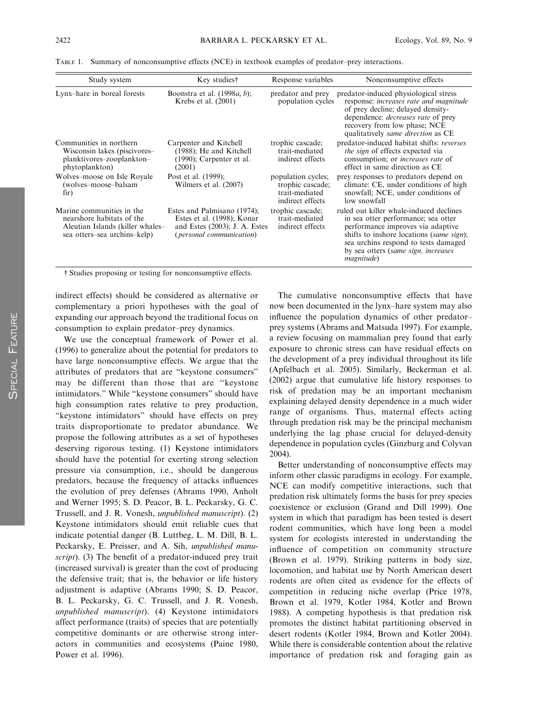| Study system                                                                                                               | Key studies†                                                                                                                  | Response variables                                                           | Nonconsumptive effects                                                                                                                                                                                                                                                       |
|----------------------------------------------------------------------------------------------------------------------------|-------------------------------------------------------------------------------------------------------------------------------|------------------------------------------------------------------------------|------------------------------------------------------------------------------------------------------------------------------------------------------------------------------------------------------------------------------------------------------------------------------|
| Lynx-hare in boreal forests                                                                                                | Boonstra et al. $(1998a, b)$ ;<br>Krebs et al. $(2001)$                                                                       | predator and prey<br>population cycles                                       | predator-induced physiological stress<br>response: increases rate and magnitude<br>of prey decline; delayed density-<br>dependence: <i>decreases rate</i> of prey<br>recovery from low phase; NCE<br>qualitatively same direction as CE                                      |
| Communities in northern<br>Wisconsin lakes (piscivores-<br>planktivores-zooplankton-<br>phytoplankton)                     | Carpenter and Kitchell<br>$(1988)$ ; He and Kitchell<br>$(1990)$ ; Carpenter et al.<br>(2001)                                 | trophic cascade;<br>trait-mediated<br>indirect effects                       | predator-induced habitat shifts: reverses<br><i>the sign</i> of effects expected via<br>consumption; or <i>increases rate</i> of<br>effect in same direction as CE                                                                                                           |
| Wolves-moose on Isle Royale<br>(wolves-moose-balsam<br>$f_{1r}$                                                            | Post et al. (1999);<br>Wilmers et al. (2007)                                                                                  | population cycles;<br>trophic cascade;<br>trait-mediated<br>indirect effects | prey responses to predators depend on<br>climate: CE, under conditions of high<br>snowfall; NCE, under conditions of<br>low snowfall                                                                                                                                         |
| Marine communities in the<br>nearshore habitats of the<br>Aleutian Islands (killer whales-<br>sea otters-sea urchins-kelp) | Estes and Palmisano (1974);<br>Estes et al. (1998); Konar<br>and Estes (2003); J. A. Estes<br><i>(personal communication)</i> | trophic cascade;<br>trait-mediated<br>indirect effects                       | ruled out killer whale-induced declines<br>in sea otter performance; sea otter<br>performance improves via adaptive<br>shifts to inshore locations <i>(same sign)</i> ;<br>sea urchins respond to tests damaged<br>by sea otters (same sign, increases<br><i>magnitude</i> ) |

TABLE 1. Summary of nonconsumptive effects (NCE) in textbook examples of predator–prey interactions.

- Studies proposing or testing for nonconsumptive effects.

indirect effects) should be considered as alternative or complementary a priori hypotheses with the goal of expanding our approach beyond the traditional focus on consumption to explain predator–prey dynamics.

We use the conceptual framework of Power et al. (1996) to generalize about the potential for predators to have large nonconsumptive effects. We argue that the attributes of predators that are ''keystone consumers'' may be different than those that are ''keystone intimidators.'' While ''keystone consumers'' should have high consumption rates relative to prey production, ''keystone intimidators'' should have effects on prey traits disproportionate to predator abundance. We propose the following attributes as a set of hypotheses deserving rigorous testing. (1) Keystone intimidators should have the potential for exerting strong selection pressure via consumption, i.e., should be dangerous predators, because the frequency of attacks influences the evolution of prey defenses (Abrams 1990, Anholt and Werner 1995; S. D. Peacor, B. L. Peckarsky, G. C. Trussell, and J. R. Vonesh, unpublished manuscript). (2) Keystone intimidators should emit reliable cues that indicate potential danger (B. Luttbeg, L. M. Dill, B. L. Peckarsky, E. Preisser, and A. Sih, unpublished manuscript). (3) The benefit of a predator-induced prey trait (increased survival) is greater than the cost of producing the defensive trait; that is, the behavior or life history adjustment is adaptive (Abrams 1990; S. D. Peacor, B. L. Peckarsky, G. C. Trussell, and J. R. Vonesh, unpublished manuscript). (4) Keystone intimidators affect performance (traits) of species that are potentially competitive dominants or are otherwise strong interactors in communities and ecosystems (Paine 1980, Power et al. 1996).

The cumulative nonconsumptive effects that have now been documented in the lynx–hare system may also influence the population dynamics of other predator– prey systems (Abrams and Matsuda 1997). For example, a review focusing on mammalian prey found that early exposure to chronic stress can have residual effects on the development of a prey individual throughout its life (Apfelbach et al. 2005). Similarly, Beckerman et al. (2002) argue that cumulative life history responses to risk of predation may be an important mechanism explaining delayed density dependence in a much wider range of organisms. Thus, maternal effects acting through predation risk may be the principal mechanism underlying the lag phase crucial for delayed-density dependence in population cycles (Ginzburg and Colyvan 2004).

Better understanding of nonconsumptive effects may inform other classic paradigms in ecology. For example, NCE can modify competitive interactions, such that predation risk ultimately forms the basis for prey species coexistence or exclusion (Grand and Dill 1999). One system in which that paradigm has been tested is desert rodent communities, which have long been a model system for ecologists interested in understanding the influence of competition on community structure (Brown et al. 1979). Striking patterns in body size, locomotion, and habitat use by North American desert rodents are often cited as evidence for the effects of competition in reducing niche overlap (Price 1978, Brown et al. 1979, Kotler 1984, Kotler and Brown 1988). A competing hypothesis is that predation risk promotes the distinct habitat partitioning observed in desert rodents (Kotler 1984, Brown and Kotler 2004). While there is considerable contention about the relative importance of predation risk and foraging gain as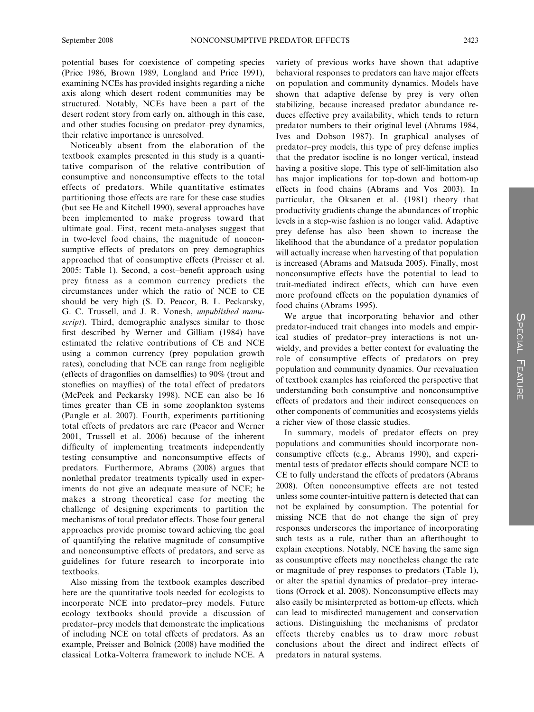potential bases for coexistence of competing species (Price 1986, Brown 1989, Longland and Price 1991), examining NCEs has provided insights regarding a niche axis along which desert rodent communities may be structured. Notably, NCEs have been a part of the desert rodent story from early on, although in this case, and other studies focusing on predator–prey dynamics, their relative importance is unresolved.

Noticeably absent from the elaboration of the textbook examples presented in this study is a quantitative comparison of the relative contribution of consumptive and nonconsumptive effects to the total effects of predators. While quantitative estimates partitioning those effects are rare for these case studies (but see He and Kitchell 1990), several approaches have been implemented to make progress toward that ultimate goal. First, recent meta-analyses suggest that in two-level food chains, the magnitude of nonconsumptive effects of predators on prey demographics approached that of consumptive effects (Preisser et al. 2005: Table 1). Second, a cost–benefit approach using prey fitness as a common currency predicts the circumstances under which the ratio of NCE to CE should be very high (S. D. Peacor, B. L. Peckarsky, G. C. Trussell, and J. R. Vonesh, unpublished manuscript). Third, demographic analyses similar to those first described by Werner and Gilliam (1984) have estimated the relative contributions of CE and NCE using a common currency (prey population growth rates), concluding that NCE can range from negligible (effects of dragonflies on damselflies) to 90% (trout and stoneflies on mayflies) of the total effect of predators (McPeek and Peckarsky 1998). NCE can also be 16 times greater than CE in some zooplankton systems (Pangle et al. 2007). Fourth, experiments partitioning total effects of predators are rare (Peacor and Werner 2001, Trussell et al. 2006) because of the inherent difficulty of implementing treatments independently testing consumptive and nonconsumptive effects of predators. Furthermore, Abrams (2008) argues that nonlethal predator treatments typically used in experiments do not give an adequate measure of NCE; he makes a strong theoretical case for meeting the challenge of designing experiments to partition the mechanisms of total predator effects. Those four general approaches provide promise toward achieving the goal of quantifying the relative magnitude of consumptive and nonconsumptive effects of predators, and serve as guidelines for future research to incorporate into textbooks.

Also missing from the textbook examples described here are the quantitative tools needed for ecologists to incorporate NCE into predator–prey models. Future ecology textbooks should provide a discussion of predator–prey models that demonstrate the implications of including NCE on total effects of predators. As an example, Preisser and Bolnick (2008) have modified the classical Lotka-Volterra framework to include NCE. A variety of previous works have shown that adaptive behavioral responses to predators can have major effects on population and community dynamics. Models have shown that adaptive defense by prey is very often stabilizing, because increased predator abundance reduces effective prey availability, which tends to return predator numbers to their original level (Abrams 1984, Ives and Dobson 1987). In graphical analyses of predator–prey models, this type of prey defense implies that the predator isocline is no longer vertical, instead having a positive slope. This type of self-limitation also has major implications for top-down and bottom-up effects in food chains (Abrams and Vos 2003). In particular, the Oksanen et al. (1981) theory that productivity gradients change the abundances of trophic levels in a step-wise fashion is no longer valid. Adaptive prey defense has also been shown to increase the likelihood that the abundance of a predator population will actually increase when harvesting of that population is increased (Abrams and Matsuda 2005). Finally, most nonconsumptive effects have the potential to lead to trait-mediated indirect effects, which can have even more profound effects on the population dynamics of food chains (Abrams 1995).

We argue that incorporating behavior and other predator-induced trait changes into models and empirical studies of predator–prey interactions is not unwieldy, and provides a better context for evaluating the role of consumptive effects of predators on prey population and community dynamics. Our reevaluation of textbook examples has reinforced the perspective that understanding both consumptive and nonconsumptive effects of predators and their indirect consequences on other components of communities and ecosystems yields a richer view of those classic studies.

In summary, models of predator effects on prey populations and communities should incorporate nonconsumptive effects (e.g., Abrams 1990), and experimental tests of predator effects should compare NCE to CE to fully understand the effects of predators (Abrams 2008). Often nonconsumptive effects are not tested unless some counter-intuitive pattern is detected that can not be explained by consumption. The potential for missing NCE that do not change the sign of prey responses underscores the importance of incorporating such tests as a rule, rather than an afterthought to explain exceptions. Notably, NCE having the same sign as consumptive effects may nonetheless change the rate or magnitude of prey responses to predators (Table 1), or alter the spatial dynamics of predator–prey interactions (Orrock et al. 2008). Nonconsumptive effects may also easily be misinterpreted as bottom-up effects, which can lead to misdirected management and conservation actions. Distinguishing the mechanisms of predator effects thereby enables us to draw more robust conclusions about the direct and indirect effects of predators in natural systems.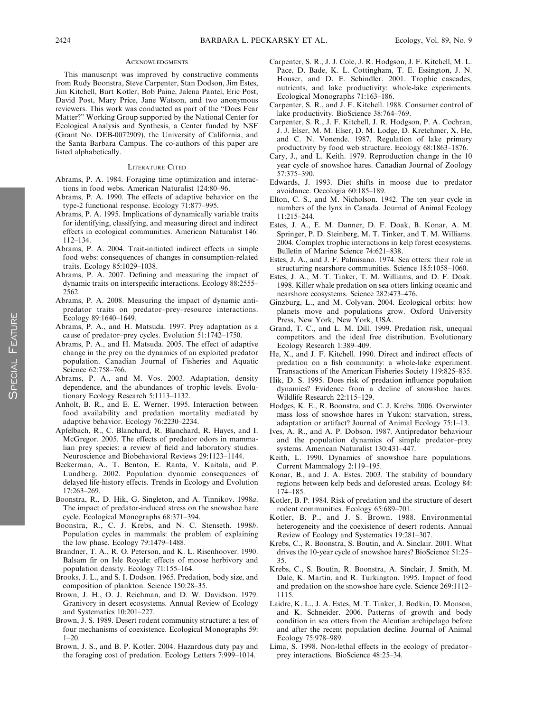#### **ACKNOWLEDGMENTS**

This manuscript was improved by constructive comments from Rudy Boonstra, Steve Carpenter, Stan Dodson, Jim Estes, Jim Kitchell, Burt Kotler, Bob Paine, Jalena Pantel, Eric Post, David Post, Mary Price, Jane Watson, and two anonymous reviewers. This work was conducted as part of the ''Does Fear Matter?'' Working Group supported by the National Center for Ecological Analysis and Synthesis, a Center funded by NSF (Grant No. DEB-0072909), the University of California, and the Santa Barbara Campus. The co-authors of this paper are listed alphabetically.

#### LITERATURE CITED

- Abrams, P. A. 1984. Foraging time optimization and interactions in food webs. American Naturalist 124:80–96.
- Abrams, P. A. 1990. The effects of adaptive behavior on the type-2 functional response. Ecology 71:877–995.
- Abrams, P. A. 1995. Implications of dynamically variable traits for identifying, classifying, and measuring direct and indirect effects in ecological communities. American Naturalist 146: 112–134.
- Abrams, P. A. 2004. Trait-initiated indirect effects in simple food webs: consequences of changes in consumption-related traits. Ecology 85:1029–1038.
- Abrams, P. A. 2007. Defining and measuring the impact of dynamic traits on interspecific interactions. Ecology 88:2555– 2562.
- Abrams, P. A. 2008. Measuring the impact of dynamic antipredator traits on predator–prey–resource interactions. Ecology 89:1640–1649.
- Abrams, P. A., and H. Matsuda. 1997. Prey adaptation as a cause of predator–prey cycles. Evolution 51:1742–1750.
- Abrams, P. A., and H. Matsuda. 2005. The effect of adaptive change in the prey on the dynamics of an exploited predator population. Canadian Journal of Fisheries and Aquatic Science 62:758–766.
- Abrams, P. A., and M. Vos. 2003. Adaptation, density dependence, and the abundances of trophic levels. Evolutionary Ecology Research 5:1113–1132.
- Anholt, B. R., and E. E. Werner. 1995. Interaction between food availability and predation mortality mediated by adaptive behavior. Ecology 76:2230–2234.
- Apfelbach, R., C. Blanchard, R. Blanchard, R. Hayes, and I. McGregor. 2005. The effects of predator odors in mammalian prey species: a review of field and laboratory studies. Neuroscience and Biobehavioral Reviews 29:1123–1144.
- Beckerman, A., T. Benton, E. Ranta, V. Kaitala, and P. Lundberg. 2002. Population dynamic consequences of delayed life-history effects. Trends in Ecology and Evolution 17:263–269.
- Boonstra, R., D. Hik, G. Singleton, and A. Tinnikov. 1998a. The impact of predator-induced stress on the snowshoe hare cycle. Ecological Monographs 68:371–394.
- Boonstra, R., C. J. Krebs, and N. C. Stenseth. 1998b. Population cycles in mammals: the problem of explaining the low phase. Ecology 79:1479–1488.
- Brandner, T. A., R. O. Peterson, and K. L. Risenhoover. 1990. Balsam fir on Isle Royale: effects of moose herbivory and population density. Ecology 71:155–164.
- Brooks, J. L., and S. I. Dodson. 1965. Predation, body size, and composition of plankton. Science 150:28–35.
- Brown, J. H., O. J. Reichman, and D. W. Davidson. 1979. Granivory in desert ecosystems. Annual Review of Ecology and Systematics 10:201–227.
- Brown, J. S. 1989. Desert rodent community structure: a test of four mechanisms of coexistence. Ecological Monographs 59: 1–20.
- Brown, J. S., and B. P. Kotler. 2004. Hazardous duty pay and the foraging cost of predation. Ecology Letters 7:999–1014.
- Carpenter, S. R., J. J. Cole, J. R. Hodgson, J. F. Kitchell, M. L. Pace, D. Bade, K. L. Cottingham, T. E. Essington, J. N. Houser, and D. E. Schindler. 2001. Trophic cascades, nutrients, and lake productivity: whole-lake experiments. Ecological Monographs 71:163–186.
- Carpenter, S. R., and J. F. Kitchell. 1988. Consumer control of lake productivity. BioScience 38:764–769.
- Carpenter, S. R., J. F. Kitchell, J. R. Hodgson, P. A. Cochran, J. J. Elser, M. M. Elser, D. M. Lodge, D. Kretchmer, X. He, and C. N. Vonende. 1987. Regulation of lake primary productivity by food web structure. Ecology 68:1863–1876.
- Cary, J., and L. Keith. 1979. Reproduction change in the 10 year cycle of snowshoe hares. Canadian Journal of Zoology 57:375–390.
- Edwards, J. 1993. Diet shifts in moose due to predator avoidance. Oecologia 60:185–189.
- Elton, C. S., and M. Nicholson. 1942. The ten year cycle in numbers of the lynx in Canada. Journal of Animal Ecology  $11:215-244$
- Estes, J. A., E. M. Danner, D. F. Doak, B. Konar, A. M. Springer, P. D. Steinberg, M. T. Tinker, and T. M. Williams. 2004. Complex trophic interactions in kelp forest ecosystems. Bulletin of Marine Science 74:621–838.
- Estes, J. A., and J. F. Palmisano. 1974. Sea otters: their role in structuring nearshore communities. Science 185:1058–1060.
- Estes, J. A., M. T. Tinker, T. M. Williams, and D. F. Doak. 1998. Killer whale predation on sea otters linking oceanic and nearshore ecosystems. Science 282:473–476.
- Ginzburg, L., and M. Colyvan. 2004. Ecological orbits: how planets move and populations grow. Oxford University Press, New York, New York, USA.
- Grand, T. C., and L. M. Dill. 1999. Predation risk, unequal competitors and the ideal free distribution. Evolutionary Ecology Research 1:389–409.
- He, X., and J. F. Kitchell. 1990. Direct and indirect effects of predation on a fish community: a whole-lake experiment. Transactions of the American Fisheries Society 119:825–835.
- Hik, D. S. 1995. Does risk of predation influence population dynamics? Evidence from a decline of snowshoe hares. Wildlife Research 22:115–129.
- Hodges, K. E., R. Boonstra, and C. J. Krebs. 2006. Overwinter mass loss of snowshoe hares in Yukon: starvation, stress, adaptation or artifact? Journal of Animal Ecology 75:1–13.
- Ives, A. R., and A. P. Dobson. 1987. Antipredator behaviour and the population dynamics of simple predator–prey systems. American Naturalist 130:431–447.
- Keith, L. 1990. Dynamics of snowshoe hare populations. Current Mammalogy 2:119–195.
- Konar, B., and J. A. Estes. 2003. The stability of boundary regions between kelp beds and deforested areas. Ecology 84: 174–185.
- Kotler, B. P. 1984. Risk of predation and the structure of desert rodent communities. Ecology 65:689–701.
- Kotler, B. P., and J. S. Brown. 1988. Environmental heterogeneity and the coexistence of desert rodents. Annual Review of Ecology and Systematics 19:281–307.
- Krebs, C., R. Boonstra, S. Boutin, and A. Sinclair. 2001. What drives the 10-year cycle of snowshoe hares? BioScience 51:25– 35.
- Krebs, C., S. Boutin, R. Boonstra, A. Sinclair, J. Smith, M. Dale, K. Martin, and R. Turkington. 1995. Impact of food and predation on the snowshoe hare cycle. Science 269:1112– 1115.
- Laidre, K. L., J. A. Estes, M. T. Tinker, J. Bodkin, D. Monson, and K. Schneider. 2006. Patterns of growth and body condition in sea otters from the Aleutian archipelago before and after the recent population decline. Journal of Animal Ecology 75:978–989.
- Lima, S. 1998. Non-lethal effects in the ecology of predator– prey interactions. BioScience 48:25–34.